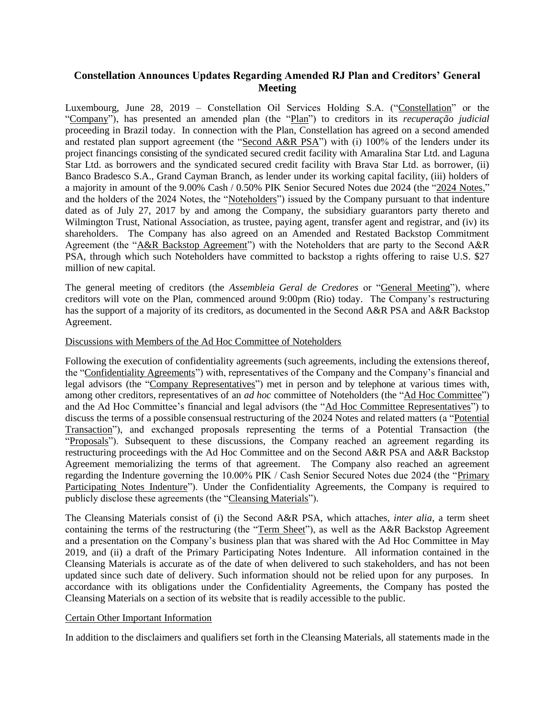# **Constellation Announces Updates Regarding Amended RJ Plan and Creditors' General Meeting**

Luxembourg, June 28, 2019 – Constellation Oil Services Holding S.A. ("Constellation" or the "Company"), has presented an amended plan (the "Plan") to creditors in its *recuperação judicial*  proceeding in Brazil today. In connection with the Plan, Constellation has agreed on a second amended and restated plan support agreement (the "Second A&R PSA") with (i) 100% of the lenders under its project financings consisting of the syndicated secured credit facility with Amaralina Star Ltd. and Laguna Star Ltd. as borrowers and the syndicated secured credit facility with Brava Star Ltd. as borrower, (ii) Banco Bradesco S.A., Grand Cayman Branch, as lender under its working capital facility, (iii) holders of a majority in amount of the 9.00% Cash / 0.50% PIK Senior Secured Notes due 2024 (the "2024 Notes," and the holders of the 2024 Notes, the "Noteholders") issued by the Company pursuant to that indenture dated as of July 27, 2017 by and among the Company, the subsidiary guarantors party thereto and Wilmington Trust, National Association, as trustee, paying agent, transfer agent and registrar, and (iv) its shareholders. The Company has also agreed on an Amended and Restated Backstop Commitment Agreement (the "A&R Backstop Agreement") with the Noteholders that are party to the Second A&R PSA, through which such Noteholders have committed to backstop a rights offering to raise U.S. \$27 million of new capital.

The general meeting of creditors (the *Assembleia Geral de Credores* or "General Meeting"), where creditors will vote on the Plan, commenced around 9:00pm (Rio) today. The Company's restructuring has the support of a majority of its creditors, as documented in the Second A&R PSA and A&R Backstop Agreement.

## Discussions with Members of the Ad Hoc Committee of Noteholders

Following the execution of confidentiality agreements (such agreements, including the extensions thereof, the "Confidentiality Agreements") with, representatives of the Company and the Company's financial and legal advisors (the "Company Representatives") met in person and by telephone at various times with, among other creditors, representatives of an *ad hoc* committee of Noteholders (the "Ad Hoc Committee") and the Ad Hoc Committee's financial and legal advisors (the "Ad Hoc Committee Representatives") to discuss the terms of a possible consensual restructuring of the 2024 Notes and related matters (a "Potential Transaction"), and exchanged proposals representing the terms of a Potential Transaction (the "Proposals"). Subsequent to these discussions, the Company reached an agreement regarding its restructuring proceedings with the Ad Hoc Committee and on the Second A&R PSA and A&R Backstop Agreement memorializing the terms of that agreement. The Company also reached an agreement regarding the Indenture governing the 10.00% PIK / Cash Senior Secured Notes due 2024 (the "Primary Participating Notes Indenture"). Under the Confidentiality Agreements, the Company is required to publicly disclose these agreements (the "Cleansing Materials").

The Cleansing Materials consist of (i) the Second A&R PSA, which attaches, *inter alia*, a term sheet containing the terms of the restructuring (the "Term Sheet"), as well as the A&R Backstop Agreement and a presentation on the Company's business plan that was shared with the Ad Hoc Committee in May 2019, and (ii) a draft of the Primary Participating Notes Indenture. All information contained in the Cleansing Materials is accurate as of the date of when delivered to such stakeholders, and has not been updated since such date of delivery. Such information should not be relied upon for any purposes. In accordance with its obligations under the Confidentiality Agreements, the Company has posted the Cleansing Materials on a section of its website that is readily accessible to the public.

#### Certain Other Important Information

In addition to the disclaimers and qualifiers set forth in the Cleansing Materials, all statements made in the